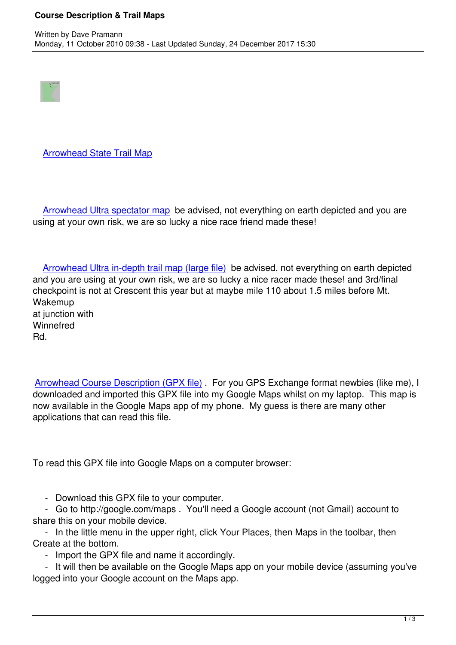

## Arrowhead State Trail Map

Arrowhead Ultra spectator map be advised, not everything on earth depicted and you are using at your own risk, we are so lucky a nice race friend made these!

 Arrowhead Ultra in-depth trail map (large file) be advised, not everything on earth depicted and you are using at your own risk, we are so lucky a nice racer made these! and 3rd/final checkpoint is not at Crescent this year but at maybe mile 110 about 1.5 miles before Mt. W[akemup](/images/stories/general/arrowhead135_various_maps.pdf) at junction with **Winnefred** Rd.

Arrowhead Course Description (GPX file) . For you GPS Exchange format newbies (like me), I downloaded and imported this GPX file into my Google Maps whilst on my laptop. This map is now available in the Google Maps app of my phone. My guess is there are many other [applications that can read this file.](images/stories/general/arrowheadcoursedescription.gpx)

To read this GPX file into Google Maps on a computer browser:

- Download this GPX file to your computer.

 - Go to http://google.com/maps . You'll need a Google account (not Gmail) account to share this on your mobile device.

 - In the little menu in the upper right, click Your Places, then Maps in the toolbar, then Create at the bottom.

- Import the GPX file and name it accordingly.

 - It will then be available on the Google Maps app on your mobile device (assuming you've logged into your Google account on the Maps app.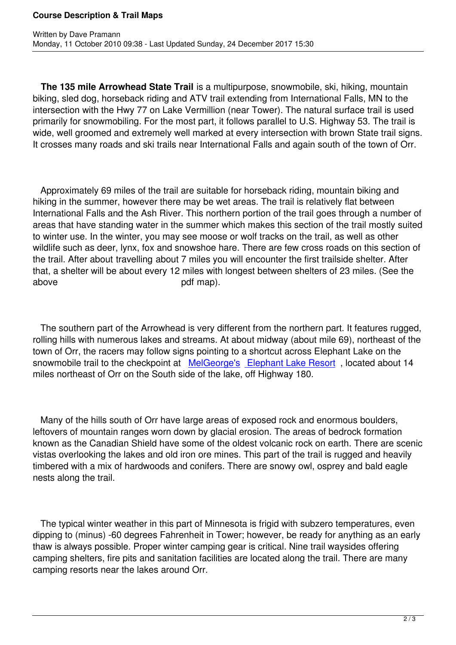**The 135 mile Arrowhead State Trail** is a multipurpose, snowmobile, ski, hiking, mountain biking, sled dog, horseback riding and ATV trail extending from International Falls, MN to the intersection with the Hwy 77 on Lake Vermillion (near Tower). The natural surface trail is used primarily for snowmobiling. For the most part, it follows parallel to U.S. Highway 53. The trail is wide, well groomed and extremely well marked at every intersection with brown State trail signs. It crosses many roads and ski trails near International Falls and again south of the town of Orr.

 Approximately 69 miles of the trail are suitable for horseback riding, mountain biking and hiking in the summer, however there may be wet areas. The trail is relatively flat between International Falls and the Ash River. This northern portion of the trail goes through a number of areas that have standing water in the summer which makes this section of the trail mostly suited to winter use. In the winter, you may see moose or wolf tracks on the trail, as well as other wildlife such as deer, lynx, fox and snowshoe hare. There are few cross roads on this section of the trail. After about travelling about 7 miles you will encounter the first trailside shelter. After that, a shelter will be about every 12 miles with longest between shelters of 23 miles. (See the above pdf map).

 The southern part of the Arrowhead is very different from the northern part. It features rugged, rolling hills with numerous lakes and streams. At about midway (about mile 69), northeast of the town of Orr, the racers may follow signs pointing to a shortcut across Elephant Lake on the snowmobile trail to the checkpoint at MelGeorge's Elephant Lake Resort, located about 14 miles northeast of Orr on the South side of the lake, off Highway 180.

 Many of the hills south of Orr have large areas of exposed rock and enormous boulders, leftovers of mountain ranges worn down by glacial erosion. The areas of bedrock formation known as the Canadian Shield have some of the oldest volcanic rock on earth. There are scenic vistas overlooking the lakes and old iron ore mines. This part of the trail is rugged and heavily timbered with a mix of hardwoods and conifers. There are snowy owl, osprey and bald eagle nests along the trail.

 The typical winter weather in this part of Minnesota is frigid with subzero temperatures, even dipping to (minus) -60 degrees Fahrenheit in Tower; however, be ready for anything as an early thaw is always possible. Proper winter camping gear is critical. Nine trail waysides offering camping shelters, fire pits and sanitation facilities are located along the trail. There are many camping resorts near the lakes around Orr.